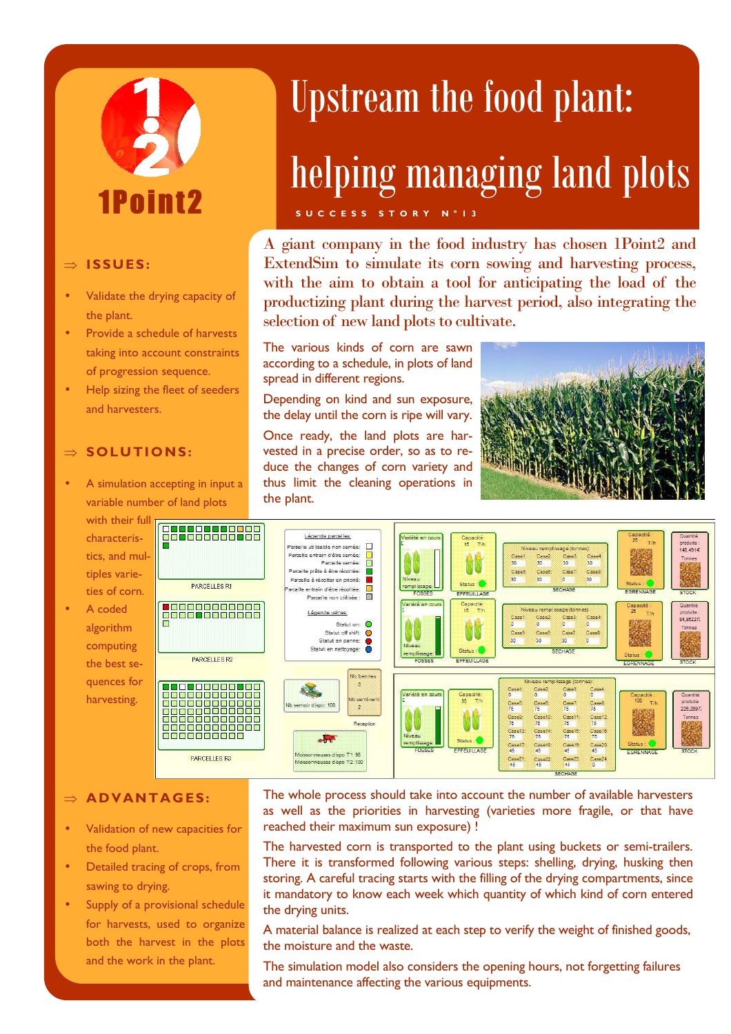

### ⇒ **ISSUES :**

- Validate the drying capacity of the plant.
- Provide a schedule of harvests taking into account constraints of progression sequence.
- Help sizing the fleet of seeders and harvesters.

### ⇒ **SOLUTIONS:**

• A simulation accepting in input a variable number of land plots

with their full characteristics, and multiples varieties of corn.

A coded algorithm computing the best sequences for harvesting.



## Upstream the food plant:

# helping managing land plots

**S U C C E S S S T O R Y N ° 1 3** 

A giant company in the food industry has chosen 1Point2 and ExtendSim to simulate its corn sowing and harvesting process, with the aim to obtain a tool for anticipating the load of the productizing plant during the harvest period, also integrating the selection of new land plots to cultivate.

The various kinds of corn are sawn according to a schedule, in plots of land spread in different regions.

Depending on kind and sun exposure, the delay until the corn is ripe will vary.

Once ready, the land plots are harvested in a precise order, so as to reduce the changes of corn variety and thus limit the cleaning operations in the plant.





### $\Rightarrow$  **ADVANTAGES:**

- Validation of new capacities for the food plant.
- Detailed tracing of crops, from sawing to drying.
- Supply of a provisional schedule for harvests, used to organize both the harvest in the plots and the work in the plant.

The whole process should take into account the number of available harvesters as well as the priorities in harvesting (varieties more fragile, or that have reached their maximum sun exposure) !

The harvested corn is transported to the plant using buckets or semi-trailers. There it is transformed following various steps: shelling, drying, husking then storing. A careful tracing starts with the filling of the drying compartments, since it mandatory to know each week which quantity of which kind of corn entered the drying units.

A material balance is realized at each step to verify the weight of finished goods, the moisture and the waste.

The simulation model also considers the opening hours, not forgetting failures and maintenance affecting the various equipments.